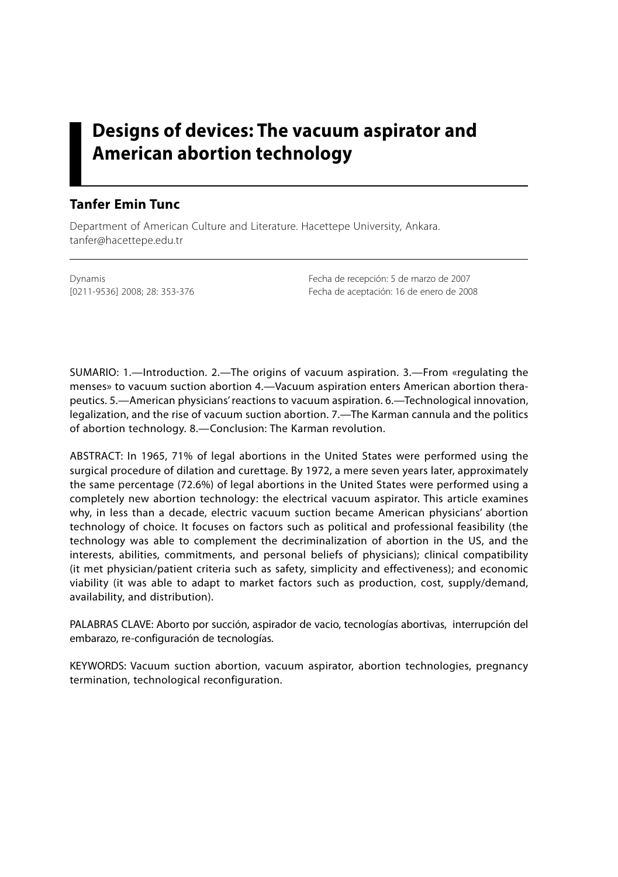# **Designs of devices: The vacuum aspirator and American abortion technology**

### **Tanfer Emin Tunc**

Department of American Culture and Literature. Hacettepe University, Ankara. tanfer@hacettepe.edu.tr

Dynamis Fecha de recepción: 5 de marzo de 2007 [0211-9536] 2008; 28: 353-376 Fecha de aceptación: 16 de enero de 2008

SUMARIO: 1.—Introduction. 2.—The origins of vacuum aspiration. 3.—From «regulating the menses» to vacuum suction abortion 4.—Vacuum aspiration enters American abortion therapeutics. 5.—American physicians' reactions to vacuum aspiration. 6.—Technological innovation, legalization, and the rise of vacuum suction abortion. 7.—The Karman cannula and the politics of abortion technology. 8.—Conclusion: The Karman revolution.

ABSTRACT: In 1965, 71% of legal abortions in the United States were performed using the surgical procedure of dilation and curettage. By 1972, a mere seven years later, approximately the same percentage (72.6%) of legal abortions in the United States were performed using a completely new abortion technology: the electrical vacuum aspirator. This article examines why, in less than a decade, electric vacuum suction became American physicians' abortion technology of choice. It focuses on factors such as political and professional feasibility (the technology was able to complement the decriminalization of abortion in the US, and the interests, abilities, commitments, and personal beliefs of physicians); clinical compatibility (it met physician/patient criteria such as safety, simplicity and effectiveness); and economic viability (it was able to adapt to market factors such as production, cost, supply/demand, availability, and distribution).

PALABRAS CLAVE: Aborto por succión, aspirador de vacio, tecnologías abortivas, interrupción del embarazo, re-configuración de tecnologías.

KEYWORDS: Vacuum suction abortion, vacuum aspirator, abortion technologies, pregnancy termination, technological reconfiguration.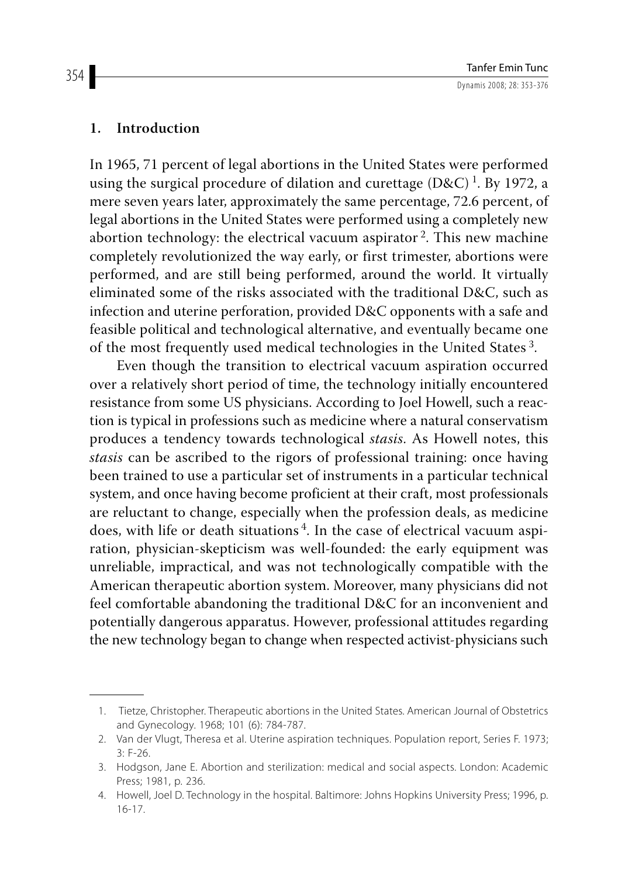#### **1. Introduction**

In 1965, 71 percent of legal abortions in the United States were performed using the surgical procedure of dilation and curettage  $(D \& C)^1$ . By 1972, a mere seven years later, approximately the same percentage, 72.6 percent, of legal abortions in the United States were performed using a completely new abortion technology: the electrical vacuum aspirator 2. This new machine completely revolutionized the way early, or first trimester, abortions were performed, and are still being performed, around the world. It virtually eliminated some of the risks associated with the traditional D&C, such as infection and uterine perforation, provided D&C opponents with a safe and feasible political and technological alternative, and eventually became one of the most frequently used medical technologies in the United States 3.

Even though the transition to electrical vacuum aspiration occurred over a relatively short period of time, the technology initially encountered resistance from some US physicians. According to Joel Howell, such a reaction is typical in professions such as medicine where a natural conservatism produces a tendency towards technological *stasis*. As Howell notes, this *stasis* can be ascribed to the rigors of professional training: once having been trained to use a particular set of instruments in a particular technical system, and once having become proficient at their craft, most professionals are reluctant to change, especially when the profession deals, as medicine does, with life or death situations 4. In the case of electrical vacuum aspiration, physician-skepticism was well-founded: the early equipment was unreliable, impractical, and was not technologically compatible with the American therapeutic abortion system. Moreover, many physicians did not feel comfortable abandoning the traditional D&C for an inconvenient and potentially dangerous apparatus. However, professional attitudes regarding the new technology began to change when respected activist-physicians such

 <sup>1.</sup> Tietze, Christopher. Therapeutic abortions in the United States. American Journal of Obstetrics and Gynecology. 1968; 101 (6): 784-787.

 <sup>2.</sup> Van der Vlugt, Theresa et al. Uterine aspiration techniques. Population report, Series F. 1973; 3: F-26.

 <sup>3.</sup> Hodgson, Jane E. Abortion and sterilization: medical and social aspects. London: Academic Press; 1981, p. 236.

 <sup>4.</sup> Howell, Joel D. Technology in the hospital. Baltimore: Johns Hopkins University Press; 1996, p. 16-17.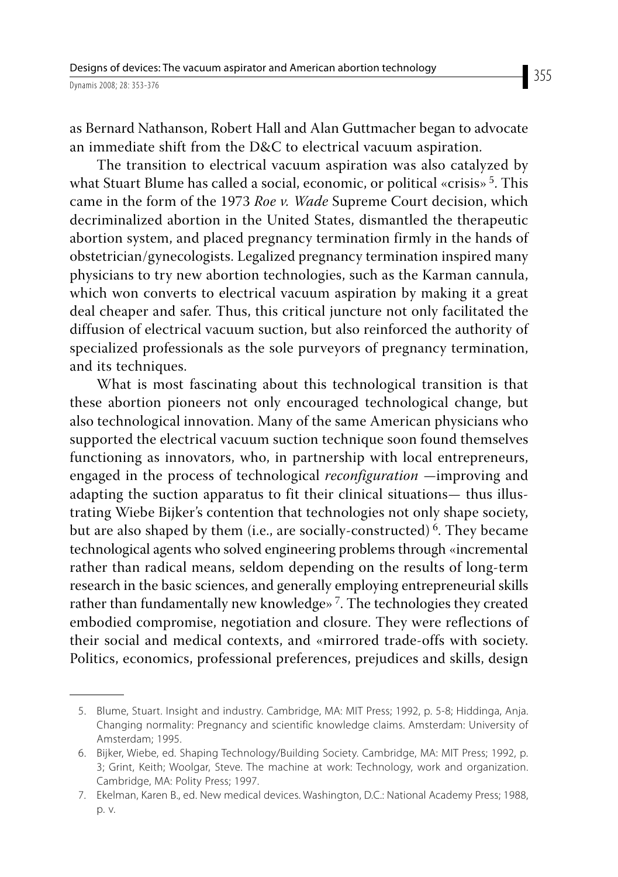as Bernard Nathanson, Robert Hall and Alan Guttmacher began to advocate an immediate shift from the D&C to electrical vacuum aspiration.

The transition to electrical vacuum aspiration was also catalyzed by what Stuart Blume has called a social, economic, or political «crisis»<sup>5</sup>. This came in the form of the 1973 *Roe v. Wade* Supreme Court decision, which decriminalized abortion in the United States, dismantled the therapeutic abortion system, and placed pregnancy termination firmly in the hands of obstetrician/gynecologists. Legalized pregnancy termination inspired many physicians to try new abortion technologies, such as the Karman cannula, which won converts to electrical vacuum aspiration by making it a great deal cheaper and safer. Thus, this critical juncture not only facilitated the diffusion of electrical vacuum suction, but also reinforced the authority of specialized professionals as the sole purveyors of pregnancy termination, and its techniques.

What is most fascinating about this technological transition is that these abortion pioneers not only encouraged technological change, but also technological innovation. Many of the same American physicians who supported the electrical vacuum suction technique soon found themselves functioning as innovators, who, in partnership with local entrepreneurs, engaged in the process of technological *reconfiguration* —improving and adapting the suction apparatus to fit their clinical situations— thus illustrating Wiebe Bijker's contention that technologies not only shape society, but are also shaped by them (i.e., are socially-constructed)<sup>6</sup>. They became technological agents who solved engineering problems through «incremental rather than radical means, seldom depending on the results of long-term research in the basic sciences, and generally employing entrepreneurial skills rather than fundamentally new knowledge» 7. The technologies they created embodied compromise, negotiation and closure. They were reflections of their social and medical contexts, and «mirrored trade-offs with society. Politics, economics, professional preferences, prejudices and skills, design

 <sup>5.</sup> Blume, Stuart. Insight and industry. Cambridge, MA: MIT Press; 1992, p. 5-8; Hiddinga, Anja. Changing normality: Pregnancy and scientific knowledge claims. Amsterdam: University of Amsterdam; 1995.

 <sup>6.</sup> Bijker, Wiebe, ed. Shaping Technology/Building Society. Cambridge, MA: MIT Press; 1992, p. 3; Grint, Keith; Woolgar, Steve. The machine at work: Technology, work and organization. Cambridge, MA: Polity Press; 1997.

 <sup>7.</sup> Ekelman, Karen B., ed. New medical devices. Washington, D.C.: National Academy Press; 1988, p. v.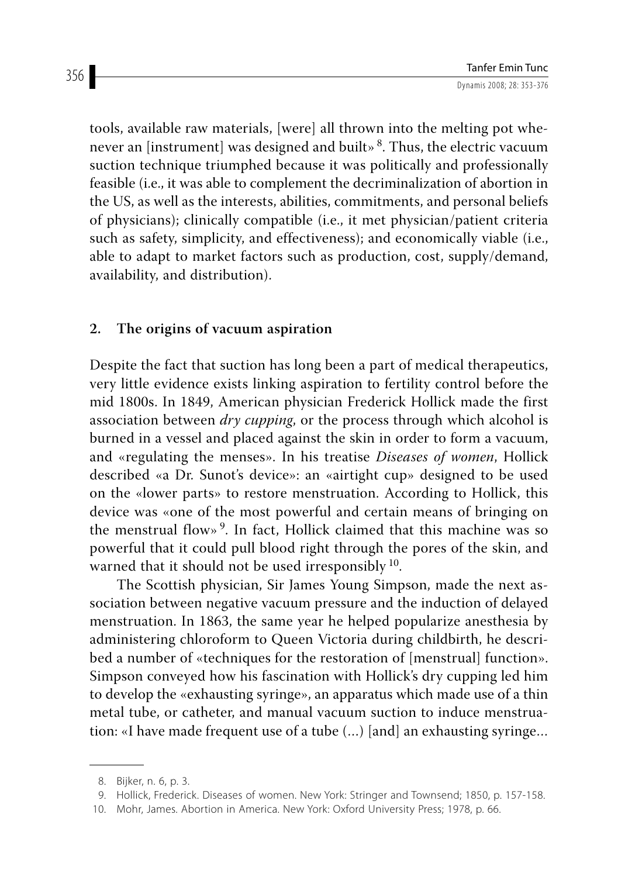tools, available raw materials, [were] all thrown into the melting pot whenever an [instrument] was designed and built» 8. Thus, the electric vacuum suction technique triumphed because it was politically and professionally feasible (i.e., it was able to complement the decriminalization of abortion in the US, as well as the interests, abilities, commitments, and personal beliefs of physicians); clinically compatible (i.e., it met physician/patient criteria such as safety, simplicity, and effectiveness); and economically viable (i.e., able to adapt to market factors such as production, cost, supply/demand, availability, and distribution).

## **2. The origins of vacuum aspiration**

Despite the fact that suction has long been a part of medical therapeutics, very little evidence exists linking aspiration to fertility control before the mid 1800s. In 1849, American physician Frederick Hollick made the first association between *dry cupping*, or the process through which alcohol is burned in a vessel and placed against the skin in order to form a vacuum, and «regulating the menses». In his treatise *Diseases of women*, Hollick described «a Dr. Sunot's device»: an «airtight cup» designed to be used on the «lower parts» to restore menstruation. According to Hollick, this device was «one of the most powerful and certain means of bringing on the menstrual flow» 9. In fact, Hollick claimed that this machine was so powerful that it could pull blood right through the pores of the skin, and warned that it should not be used irresponsibly <sup>10</sup>.

The Scottish physician, Sir James Young Simpson, made the next association between negative vacuum pressure and the induction of delayed menstruation. In 1863, the same year he helped popularize anesthesia by administering chloroform to Queen Victoria during childbirth, he described a number of «techniques for the restoration of [menstrual] function». Simpson conveyed how his fascination with Hollick's dry cupping led him to develop the «exhausting syringe», an apparatus which made use of a thin metal tube, or catheter, and manual vacuum suction to induce menstruation: «I have made frequent use of a tube (…) [and] an exhausting syringe…

 <sup>8.</sup> Bijker, n. 6, p. 3.

 <sup>9.</sup> Hollick, Frederick. Diseases of women. New York: Stringer and Townsend; 1850, p. 157-158.

 <sup>10.</sup> Mohr, James. Abortion in America. New York: Oxford University Press; 1978, p. 66.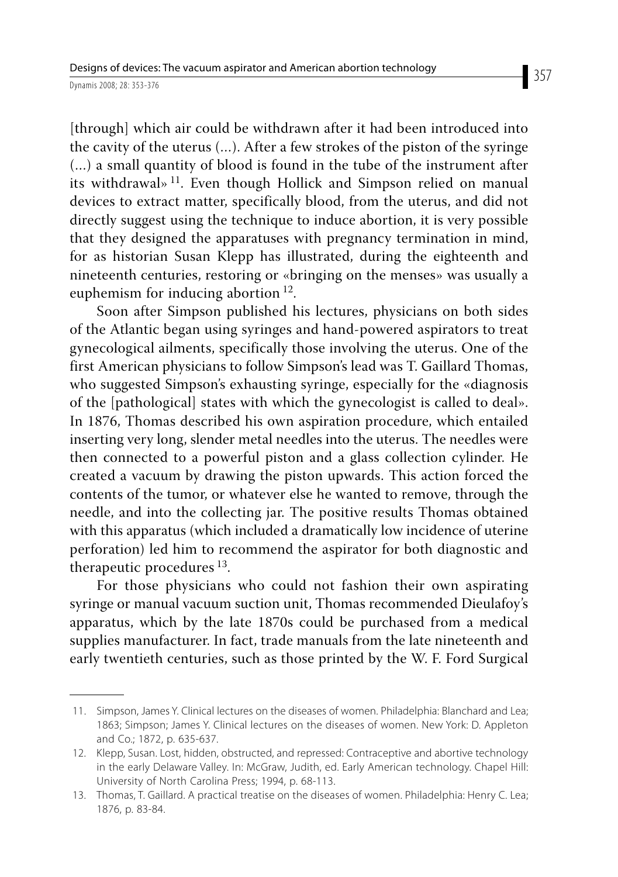[through] which air could be withdrawn after it had been introduced into the cavity of the uterus (…). After a few strokes of the piston of the syringe (…) a small quantity of blood is found in the tube of the instrument after its withdrawal» 11. Even though Hollick and Simpson relied on manual devices to extract matter, specifically blood, from the uterus, and did not directly suggest using the technique to induce abortion, it is very possible that they designed the apparatuses with pregnancy termination in mind, for as historian Susan Klepp has illustrated, during the eighteenth and nineteenth centuries, restoring or «bringing on the menses» was usually a euphemism for inducing abortion 12.

Soon after Simpson published his lectures, physicians on both sides of the Atlantic began using syringes and hand-powered aspirators to treat gynecological ailments, specifically those involving the uterus. One of the first American physicians to follow Simpson's lead was T. Gaillard Thomas, who suggested Simpson's exhausting syringe, especially for the «diagnosis of the [pathological] states with which the gynecologist is called to deal». In 1876, Thomas described his own aspiration procedure, which entailed inserting very long, slender metal needles into the uterus. The needles were then connected to a powerful piston and a glass collection cylinder. He created a vacuum by drawing the piston upwards. This action forced the contents of the tumor, or whatever else he wanted to remove, through the needle, and into the collecting jar. The positive results Thomas obtained with this apparatus (which included a dramatically low incidence of uterine perforation) led him to recommend the aspirator for both diagnostic and therapeutic procedures  $^{13}$ .

For those physicians who could not fashion their own aspirating syringe or manual vacuum suction unit, Thomas recommended Dieulafoy's apparatus, which by the late 1870s could be purchased from a medical supplies manufacturer. In fact, trade manuals from the late nineteenth and early twentieth centuries, such as those printed by the W. F. Ford Surgical

 <sup>11.</sup> Simpson, James Y. Clinical lectures on the diseases of women. Philadelphia: Blanchard and Lea; 1863; Simpson; James Y. Clinical lectures on the diseases of women. New York: D. Appleton and Co.; 1872, p. 635-637.

 <sup>12.</sup> Klepp, Susan. Lost, hidden, obstructed, and repressed: Contraceptive and abortive technology in the early Delaware Valley. In: McGraw, Judith, ed. Early American technology. Chapel Hill: University of North Carolina Press; 1994, p. 68-113.

 <sup>13.</sup> Thomas, T. Gaillard. A practical treatise on the diseases of women. Philadelphia: Henry C. Lea; 1876, p. 83-84.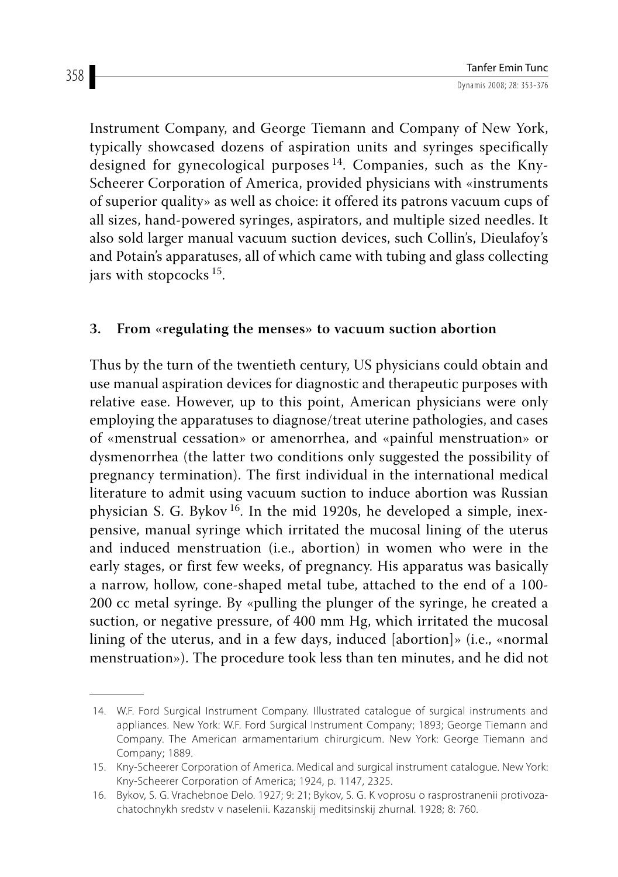Instrument Company, and George Tiemann and Company of New York, typically showcased dozens of aspiration units and syringes specifically designed for gynecological purposes  $14$ . Companies, such as the Kny-Scheerer Corporation of America, provided physicians with «instruments of superior quality» as well as choice: it offered its patrons vacuum cups of all sizes, hand-powered syringes, aspirators, and multiple sized needles. It also sold larger manual vacuum suction devices, such Collin's, Dieulafoy's and Potain's apparatuses, all of which came with tubing and glass collecting jars with stopcocks 15.

## **3. From «regulating the menses» to vacuum suction abortion**

Thus by the turn of the twentieth century, US physicians could obtain and use manual aspiration devices for diagnostic and therapeutic purposes with relative ease. However, up to this point, American physicians were only employing the apparatuses to diagnose/treat uterine pathologies, and cases of «menstrual cessation» or amenorrhea, and «painful menstruation» or dysmenorrhea (the latter two conditions only suggested the possibility of pregnancy termination). The first individual in the international medical literature to admit using vacuum suction to induce abortion was Russian physician S. G. Bykov 16. In the mid 1920s, he developed a simple, inexpensive, manual syringe which irritated the mucosal lining of the uterus and induced menstruation (i.e., abortion) in women who were in the early stages, or first few weeks, of pregnancy. His apparatus was basically a narrow, hollow, cone-shaped metal tube, attached to the end of a 100- 200 cc metal syringe. By «pulling the plunger of the syringe, he created a suction, or negative pressure, of 400 mm Hg, which irritated the mucosal lining of the uterus, and in a few days, induced [abortion]» (i.e., «normal menstruation»). The procedure took less than ten minutes, and he did not

 <sup>14.</sup> W.F. Ford Surgical Instrument Company. Illustrated catalogue of surgical instruments and appliances. New York: W.F. Ford Surgical Instrument Company; 1893; George Tiemann and Company. The American armamentarium chirurgicum. New York: George Tiemann and Company; 1889.

 <sup>15.</sup> Kny-Scheerer Corporation of America. Medical and surgical instrument catalogue. New York: Kny-Scheerer Corporation of America; 1924, p. 1147, 2325.

 <sup>16.</sup> Bykov, S. G. Vrachebnoe Delo. 1927; 9: 21; Bykov, S. G. K voprosu o rasprostranenii protivozachatochnykh sredstv v naselenii. Kazanskij meditsinskij zhurnal. 1928; 8: 760.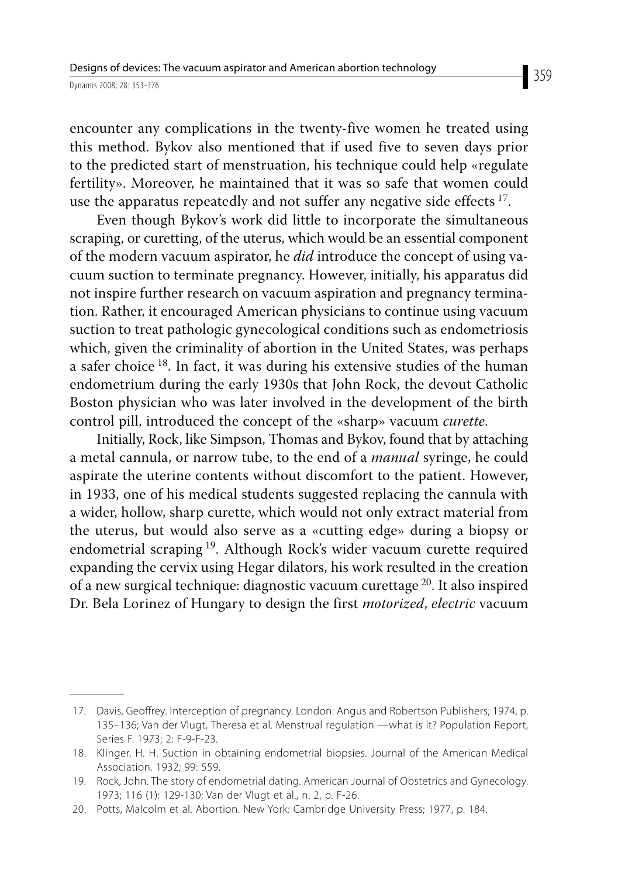encounter any complications in the twenty-five women he treated using this method. Bykov also mentioned that if used five to seven days prior to the predicted start of menstruation, his technique could help «regulate fertility». Moreover, he maintained that it was so safe that women could use the apparatus repeatedly and not suffer any negative side effects  $17$ .

Even though Bykov's work did little to incorporate the simultaneous scraping, or curetting, of the uterus, which would be an essential component of the modern vacuum aspirator, he *did* introduce the concept of using vacuum suction to terminate pregnancy. However, initially, his apparatus did not inspire further research on vacuum aspiration and pregnancy termination. Rather, it encouraged American physicians to continue using vacuum suction to treat pathologic gynecological conditions such as endometriosis which, given the criminality of abortion in the United States, was perhaps a safer choice 18. In fact, it was during his extensive studies of the human endometrium during the early 1930s that John Rock, the devout Catholic Boston physician who was later involved in the development of the birth control pill, introduced the concept of the «sharp» vacuum *curette*.

Initially, Rock, like Simpson, Thomas and Bykov, found that by attaching a metal cannula, or narrow tube, to the end of a *manual* syringe, he could aspirate the uterine contents without discomfort to the patient. However, in 1933, one of his medical students suggested replacing the cannula with a wider, hollow, sharp curette, which would not only extract material from the uterus, but would also serve as a «cutting edge» during a biopsy or endometrial scraping 19. Although Rock's wider vacuum curette required expanding the cervix using Hegar dilators, his work resulted in the creation of a new surgical technique: diagnostic vacuum curettage 20. It also inspired Dr. Bela Lorinez of Hungary to design the first *motorized*, *electric* vacuum

 <sup>17.</sup> Davis, Geoffrey. Interception of pregnancy. London: Angus and Robertson Publishers; 1974, p. 135–136; Van der Vlugt, Theresa et al. Menstrual regulation —what is it? Population Report, Series F. 1973; 2: F-9-F-23.

 <sup>18.</sup> Klinger, H. H. Suction in obtaining endometrial biopsies. Journal of the American Medical Association. 1932; 99: 559.

 <sup>19.</sup> Rock, John. The story of endometrial dating. American Journal of Obstetrics and Gynecology. 1973; 116 (1): 129-130; Van der Vlugt et al., n. 2, p. F-26.

 <sup>20.</sup> Potts, Malcolm et al. Abortion. New York: Cambridge University Press; 1977, p. 184.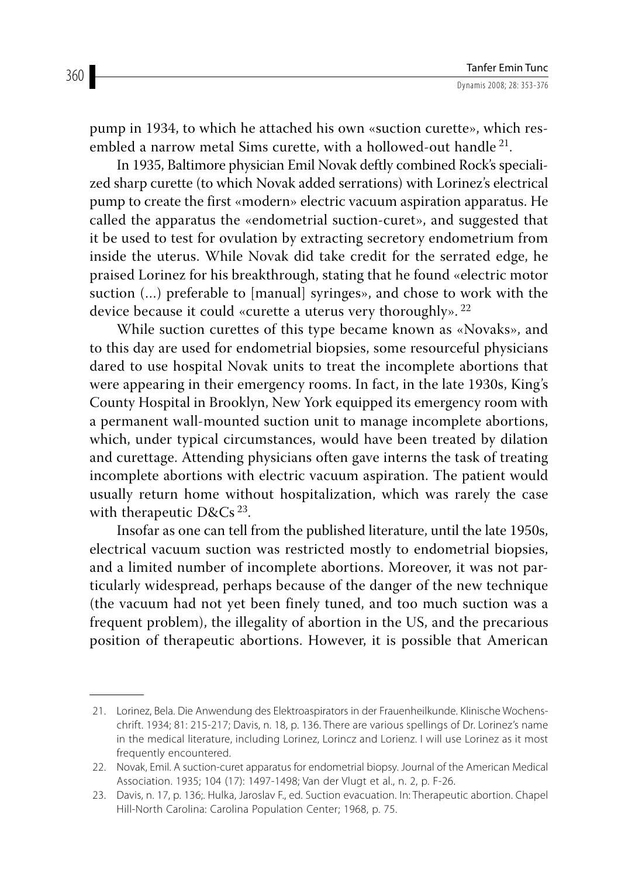pump in 1934, to which he attached his own «suction curette», which resembled a narrow metal Sims curette, with a hollowed-out handle<sup>21</sup>.

In 1935, Baltimore physician Emil Novak deftly combined Rock's specialized sharp curette (to which Novak added serrations) with Lorinez's electrical pump to create the first «modern» electric vacuum aspiration apparatus. He called the apparatus the «endometrial suction-curet», and suggested that it be used to test for ovulation by extracting secretory endometrium from inside the uterus. While Novak did take credit for the serrated edge, he praised Lorinez for his breakthrough, stating that he found «electric motor suction (…) preferable to [manual] syringes», and chose to work with the device because it could «curette a uterus very thoroughly».<sup>22</sup>

While suction curettes of this type became known as «Novaks», and to this day are used for endometrial biopsies, some resourceful physicians dared to use hospital Novak units to treat the incomplete abortions that were appearing in their emergency rooms. In fact, in the late 1930s, King's County Hospital in Brooklyn, New York equipped its emergency room with a permanent wall-mounted suction unit to manage incomplete abortions, which, under typical circumstances, would have been treated by dilation and curettage. Attending physicians often gave interns the task of treating incomplete abortions with electric vacuum aspiration. The patient would usually return home without hospitalization, which was rarely the case with therapeutic  $D&CS^{23}$ .

Insofar as one can tell from the published literature, until the late 1950s, electrical vacuum suction was restricted mostly to endometrial biopsies, and a limited number of incomplete abortions. Moreover, it was not particularly widespread, perhaps because of the danger of the new technique (the vacuum had not yet been finely tuned, and too much suction was a frequent problem), the illegality of abortion in the US, and the precarious position of therapeutic abortions. However, it is possible that American

 <sup>21.</sup> Lorinez, Bela. Die Anwendung des Elektroaspirators in der Frauenheilkunde. Klinische Wochenschrift. 1934; 81: 215-217; Davis, n. 18, p. 136. There are various spellings of Dr. Lorinez's name in the medical literature, including Lorinez, Lorincz and Lorienz. I will use Lorinez as it most frequently encountered.

 <sup>22.</sup> Novak, Emil. A suction-curet apparatus for endometrial biopsy. Journal of the American Medical Association. 1935; 104 (17): 1497-1498; Van der Vlugt et al., n. 2, p. F-26.

 <sup>23.</sup> Davis, n. 17, p. 136;. Hulka, Jaroslav F., ed. Suction evacuation. In: Therapeutic abortion. Chapel Hill-North Carolina: Carolina Population Center; 1968, p. 75.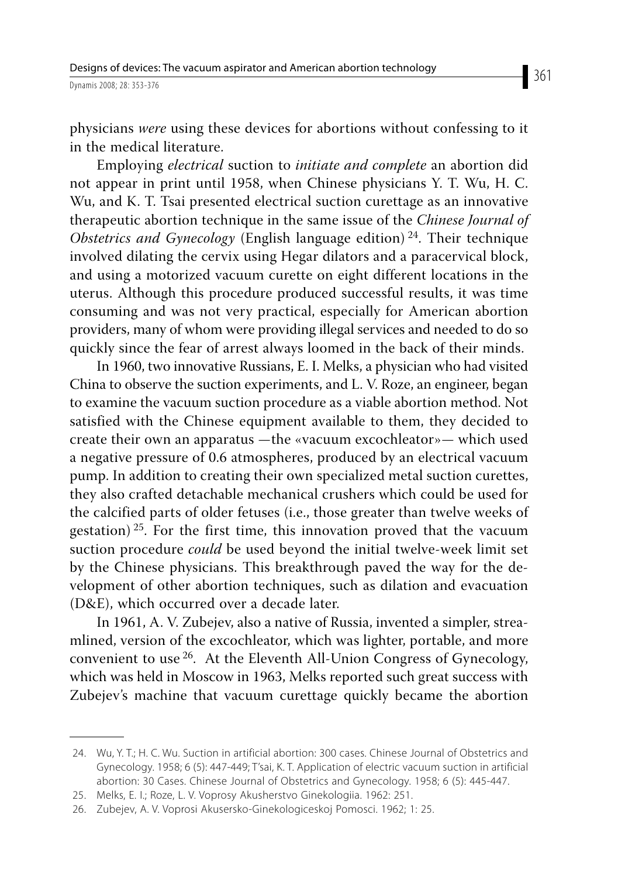physicians *were* using these devices for abortions without confessing to it in the medical literature.

Employing *electrical* suction to *initiate and complete* an abortion did not appear in print until 1958, when Chinese physicians Y. T. Wu, H. C. Wu, and K. T. Tsai presented electrical suction curettage as an innovative therapeutic abortion technique in the same issue of the *Chinese Journal of Obstetrics and Gynecology* (English language edition)<sup>24</sup>. Their technique involved dilating the cervix using Hegar dilators and a paracervical block, and using a motorized vacuum curette on eight different locations in the uterus. Although this procedure produced successful results, it was time consuming and was not very practical, especially for American abortion providers, many of whom were providing illegal services and needed to do so quickly since the fear of arrest always loomed in the back of their minds.

In 1960, two innovative Russians, E. I. Melks, a physician who had visited China to observe the suction experiments, and L. V. Roze, an engineer, began to examine the vacuum suction procedure as a viable abortion method. Not satisfied with the Chinese equipment available to them, they decided to create their own an apparatus —the «vacuum excochleator»— which used a negative pressure of 0.6 atmospheres, produced by an electrical vacuum pump. In addition to creating their own specialized metal suction curettes, they also crafted detachable mechanical crushers which could be used for the calcified parts of older fetuses (i.e., those greater than twelve weeks of gestation)<sup>25</sup>. For the first time, this innovation proved that the vacuum suction procedure *could* be used beyond the initial twelve-week limit set by the Chinese physicians. This breakthrough paved the way for the development of other abortion techniques, such as dilation and evacuation (D&E), which occurred over a decade later.

In 1961, A. V. Zubejev, also a native of Russia, invented a simpler, streamlined, version of the excochleator, which was lighter, portable, and more convenient to use 26. At the Eleventh All-Union Congress of Gynecology, which was held in Moscow in 1963, Melks reported such great success with Zubejev's machine that vacuum curettage quickly became the abortion

 <sup>24.</sup> Wu, Y. T.; H. C. Wu. Suction in artificial abortion: 300 cases. Chinese Journal of Obstetrics and Gynecology. 1958; 6 (5): 447-449; T'sai, K. T. Application of electric vacuum suction in artificial abortion: 30 Cases. Chinese Journal of Obstetrics and Gynecology. 1958; 6 (5): 445-447.

 <sup>25.</sup> Melks, E. I.; Roze, L. V. Voprosy Akusherstvo Ginekologiia. 1962: 251.

 <sup>26.</sup> Zubejev, A. V. Voprosi Akusersko-Ginekologiceskoj Pomosci. 1962; 1: 25.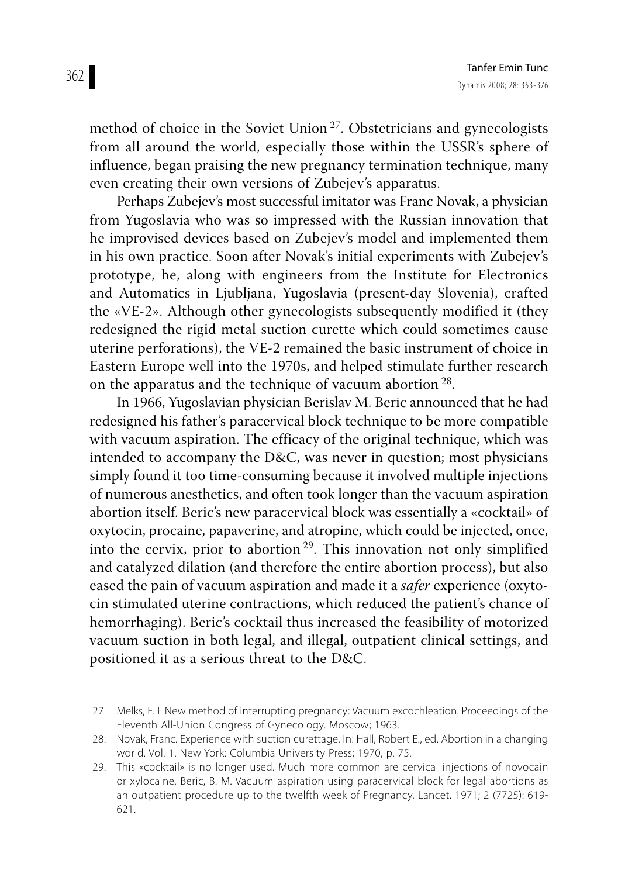method of choice in the Soviet Union 27. Obstetricians and gynecologists from all around the world, especially those within the USSR's sphere of influence, began praising the new pregnancy termination technique, many even creating their own versions of Zubejev's apparatus.

Perhaps Zubejev's most successful imitator was Franc Novak, a physician from Yugoslavia who was so impressed with the Russian innovation that he improvised devices based on Zubejev's model and implemented them in his own practice. Soon after Novak's initial experiments with Zubejev's prototype, he, along with engineers from the Institute for Electronics and Automatics in Ljubljana, Yugoslavia (present-day Slovenia), crafted the «VE-2». Although other gynecologists subsequently modified it (they redesigned the rigid metal suction curette which could sometimes cause uterine perforations), the VE-2 remained the basic instrument of choice in Eastern Europe well into the 1970s, and helped stimulate further research on the apparatus and the technique of vacuum abortion 28.

In 1966, Yugoslavian physician Berislav M. Beric announced that he had redesigned his father's paracervical block technique to be more compatible with vacuum aspiration. The efficacy of the original technique, which was intended to accompany the D&C, was never in question; most physicians simply found it too time-consuming because it involved multiple injections of numerous anesthetics, and often took longer than the vacuum aspiration abortion itself. Beric's new paracervical block was essentially a «cocktail» of oxytocin, procaine, papaverine, and atropine, which could be injected, once, into the cervix, prior to abortion 29. This innovation not only simplified and catalyzed dilation (and therefore the entire abortion process), but also eased the pain of vacuum aspiration and made it a *safer* experience (oxytocin stimulated uterine contractions, which reduced the patient's chance of hemorrhaging). Beric's cocktail thus increased the feasibility of motorized vacuum suction in both legal, and illegal, outpatient clinical settings, and positioned it as a serious threat to the D&C.

 <sup>27.</sup> Melks, E. I. New method of interrupting pregnancy: Vacuum excochleation. Proceedings of the Eleventh All-Union Congress of Gynecology. Moscow; 1963.

 <sup>28.</sup> Novak, Franc. Experience with suction curettage. In: Hall, Robert E., ed. Abortion in a changing world. Vol. 1. New York: Columbia University Press; 1970, p. 75.

 <sup>29.</sup> This «cocktail» is no longer used. Much more common are cervical injections of novocain or xylocaine. Beric, B. M. Vacuum aspiration using paracervical block for legal abortions as an outpatient procedure up to the twelfth week of Pregnancy. Lancet. 1971; 2 (7725): 619- 621.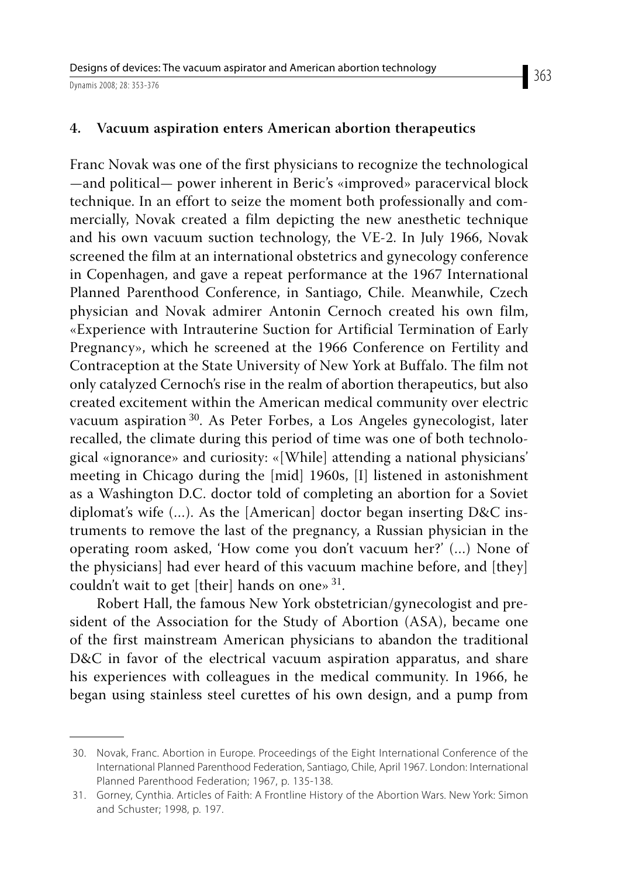Franc Novak was one of the first physicians to recognize the technological —and political— power inherent in Beric's «improved» paracervical block technique. In an effort to seize the moment both professionally and commercially, Novak created a film depicting the new anesthetic technique and his own vacuum suction technology, the VE-2. In July 1966, Novak screened the film at an international obstetrics and gynecology conference in Copenhagen, and gave a repeat performance at the 1967 International Planned Parenthood Conference, in Santiago, Chile. Meanwhile, Czech physician and Novak admirer Antonin Cernoch created his own film, «Experience with Intrauterine Suction for Artificial Termination of Early Pregnancy», which he screened at the 1966 Conference on Fertility and Contraception at the State University of New York at Buffalo. The film not only catalyzed Cernoch's rise in the realm of abortion therapeutics, but also created excitement within the American medical community over electric vacuum aspiration 30. As Peter Forbes, a Los Angeles gynecologist, later recalled, the climate during this period of time was one of both technological «ignorance» and curiosity: «[While] attending a national physicians' meeting in Chicago during the [mid] 1960s, [I] listened in astonishment as a Washington D.C. doctor told of completing an abortion for a Soviet diplomat's wife (…). As the [American] doctor began inserting D&C instruments to remove the last of the pregnancy, a Russian physician in the operating room asked, 'How come you don't vacuum her?' (…) None of the physicians] had ever heard of this vacuum machine before, and [they] couldn't wait to get [their] hands on one» 31.

Robert Hall, the famous New York obstetrician/gynecologist and president of the Association for the Study of Abortion (ASA), became one of the first mainstream American physicians to abandon the traditional D&C in favor of the electrical vacuum aspiration apparatus, and share his experiences with colleagues in the medical community. In 1966, he began using stainless steel curettes of his own design, and a pump from

 <sup>30.</sup> Novak, Franc. Abortion in Europe. Proceedings of the Eight International Conference of the International Planned Parenthood Federation, Santiago, Chile, April 1967. London: International Planned Parenthood Federation; 1967, p. 135-138.

 <sup>31.</sup> Gorney, Cynthia. Articles of Faith: A Frontline History of the Abortion Wars. New York: Simon and Schuster; 1998, p. 197.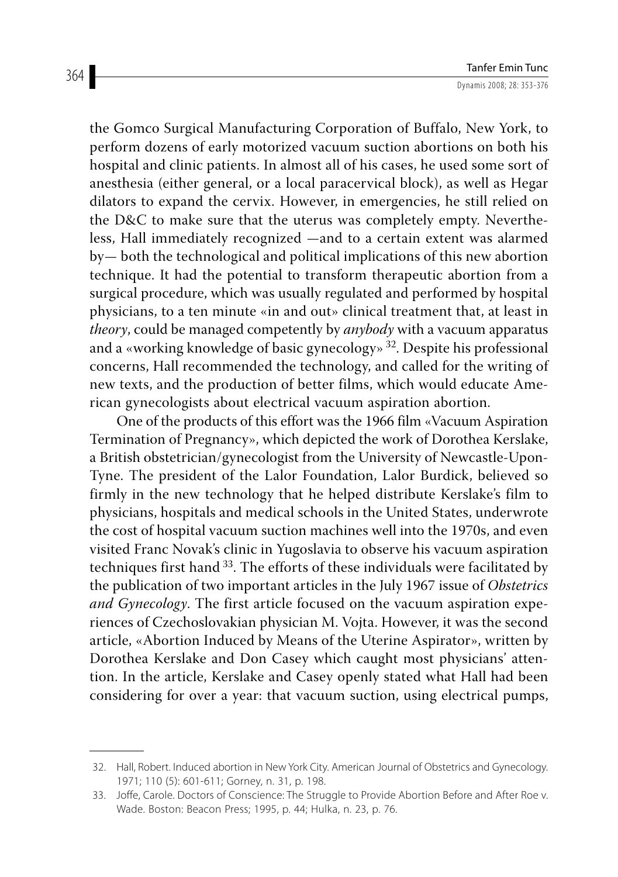the Gomco Surgical Manufacturing Corporation of Buffalo, New York, to perform dozens of early motorized vacuum suction abortions on both his hospital and clinic patients. In almost all of his cases, he used some sort of anesthesia (either general, or a local paracervical block), as well as Hegar dilators to expand the cervix. However, in emergencies, he still relied on the D&C to make sure that the uterus was completely empty. Nevertheless, Hall immediately recognized —and to a certain extent was alarmed by— both the technological and political implications of this new abortion technique. It had the potential to transform therapeutic abortion from a surgical procedure, which was usually regulated and performed by hospital physicians, to a ten minute «in and out» clinical treatment that, at least in *theory*, could be managed competently by *anybody* with a vacuum apparatus and a «working knowledge of basic gynecology» 32. Despite his professional concerns, Hall recommended the technology, and called for the writing of new texts, and the production of better films, which would educate American gynecologists about electrical vacuum aspiration abortion.

One of the products of this effort was the 1966 film «Vacuum Aspiration Termination of Pregnancy», which depicted the work of Dorothea Kerslake, a British obstetrician/gynecologist from the University of Newcastle-Upon-Tyne. The president of the Lalor Foundation, Lalor Burdick, believed so firmly in the new technology that he helped distribute Kerslake's film to physicians, hospitals and medical schools in the United States, underwrote the cost of hospital vacuum suction machines well into the 1970s, and even visited Franc Novak's clinic in Yugoslavia to observe his vacuum aspiration techniques first hand 33. The efforts of these individuals were facilitated by the publication of two important articles in the July 1967 issue of *Obstetrics and Gynecology*. The first article focused on the vacuum aspiration experiences of Czechoslovakian physician M. Vojta. However, it was the second article, «Abortion Induced by Means of the Uterine Aspirator», written by Dorothea Kerslake and Don Casey which caught most physicians' attention. In the article, Kerslake and Casey openly stated what Hall had been considering for over a year: that vacuum suction, using electrical pumps,

 <sup>32.</sup> Hall, Robert. Induced abortion in New York City. American Journal of Obstetrics and Gynecology. 1971; 110 (5): 601-611; Gorney, n. 31, p. 198.

 <sup>33.</sup> Joffe, Carole. Doctors of Conscience: The Struggle to Provide Abortion Before and After Roe v. Wade. Boston: Beacon Press; 1995, p. 44; Hulka, n. 23, p. 76.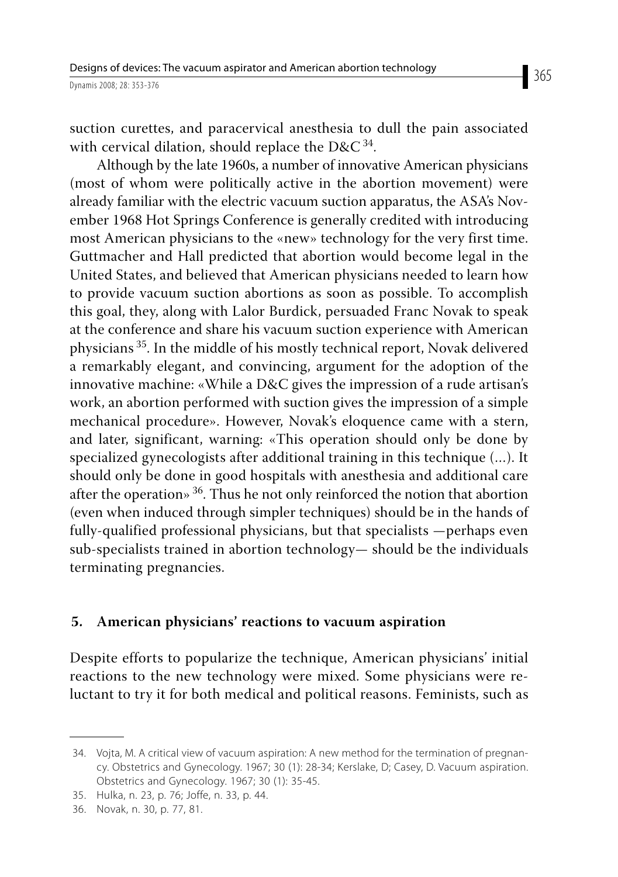suction curettes, and paracervical anesthesia to dull the pain associated with cervical dilation, should replace the D&C  $34$ .

Although by the late 1960s, a number of innovative American physicians (most of whom were politically active in the abortion movement) were already familiar with the electric vacuum suction apparatus, the ASA's November 1968 Hot Springs Conference is generally credited with introducing most American physicians to the «new» technology for the very first time. Guttmacher and Hall predicted that abortion would become legal in the United States, and believed that American physicians needed to learn how to provide vacuum suction abortions as soon as possible. To accomplish this goal, they, along with Lalor Burdick, persuaded Franc Novak to speak at the conference and share his vacuum suction experience with American physicians 35. In the middle of his mostly technical report, Novak delivered a remarkably elegant, and convincing, argument for the adoption of the innovative machine: «While a D&C gives the impression of a rude artisan's work, an abortion performed with suction gives the impression of a simple mechanical procedure». However, Novak's eloquence came with a stern, and later, significant, warning: «This operation should only be done by specialized gynecologists after additional training in this technique (…). It should only be done in good hospitals with anesthesia and additional care after the operation» 36. Thus he not only reinforced the notion that abortion (even when induced through simpler techniques) should be in the hands of fully-qualified professional physicians, but that specialists —perhaps even sub-specialists trained in abortion technology— should be the individuals terminating pregnancies.

#### **5. American physicians' reactions to vacuum aspiration**

Despite efforts to popularize the technique, American physicians' initial reactions to the new technology were mixed. Some physicians were reluctant to try it for both medical and political reasons. Feminists, such as

 <sup>34.</sup> Vojta, M. A critical view of vacuum aspiration: A new method for the termination of pregnancy. Obstetrics and Gynecology. 1967; 30 (1): 28-34; Kerslake, D; Casey, D. Vacuum aspiration. Obstetrics and Gynecology. 1967; 30 (1): 35-45.

 <sup>35.</sup> Hulka, n. 23, p. 76; Joffe, n. 33, p. 44.

 <sup>36.</sup> Novak, n. 30, p. 77, 81.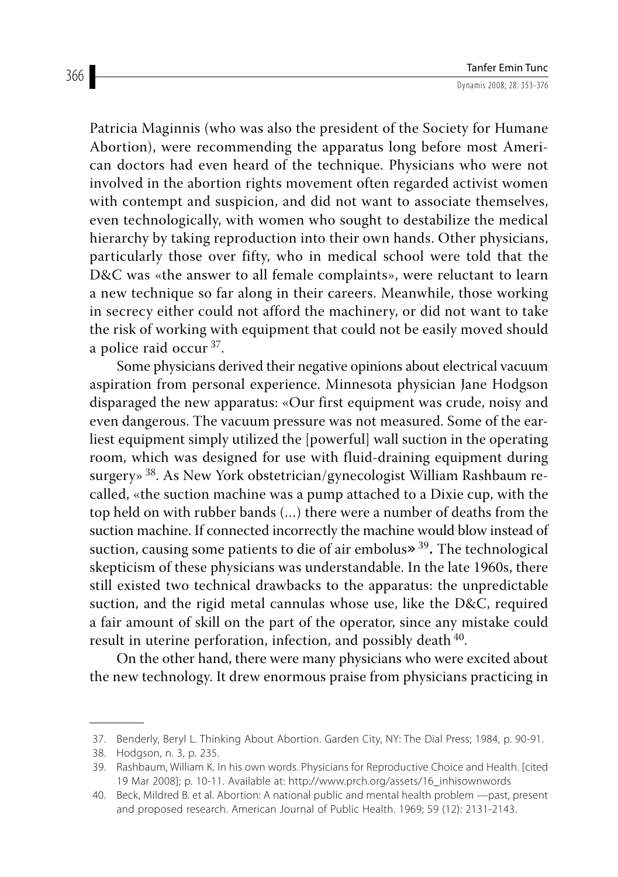Patricia Maginnis (who was also the president of the Society for Humane Abortion), were recommending the apparatus long before most American doctors had even heard of the technique. Physicians who were not involved in the abortion rights movement often regarded activist women with contempt and suspicion, and did not want to associate themselves, even technologically, with women who sought to destabilize the medical hierarchy by taking reproduction into their own hands. Other physicians, particularly those over fifty, who in medical school were told that the D&C was «the answer to all female complaints», were reluctant to learn a new technique so far along in their careers. Meanwhile, those working in secrecy either could not afford the machinery, or did not want to take the risk of working with equipment that could not be easily moved should a police raid occur 37.

Some physicians derived their negative opinions about electrical vacuum aspiration from personal experience. Minnesota physician Jane Hodgson disparaged the new apparatus: «Our first equipment was crude, noisy and even dangerous. The vacuum pressure was not measured. Some of the earliest equipment simply utilized the [powerful] wall suction in the operating room, which was designed for use with fluid-draining equipment during surgery» 38. As New York obstetrician/gynecologist William Rashbaum recalled, «the suction machine was a pump attached to a Dixie cup, with the top held on with rubber bands (…) there were a number of deaths from the suction machine. If connected incorrectly the machine would blow instead of suction, causing some patients to die of air embolus» 39. The technological skepticism of these physicians was understandable. In the late 1960s, there still existed two technical drawbacks to the apparatus: the unpredictable suction, and the rigid metal cannulas whose use, like the D&C, required a fair amount of skill on the part of the operator, since any mistake could result in uterine perforation, infection, and possibly death 40.

On the other hand, there were many physicians who were excited about the new technology. It drew enormous praise from physicians practicing in

 <sup>37.</sup> Benderly, Beryl L. Thinking About Abortion. Garden City, NY: The Dial Press; 1984, p. 90-91.

 <sup>38.</sup> Hodgson, n. 3, p. 235.

 <sup>39.</sup> Rashbaum, William K. In his own words. Physicians for Reproductive Choice and Health. [cited 19 Mar 2008]; p. 10-11. Available at: http://www.prch.org/assets/16\_inhisownwords

 <sup>40.</sup> Beck, Mildred B. et al. Abortion: A national public and mental health problem —past, present and proposed research. American Journal of Public Health. 1969; 59 (12): 2131-2143.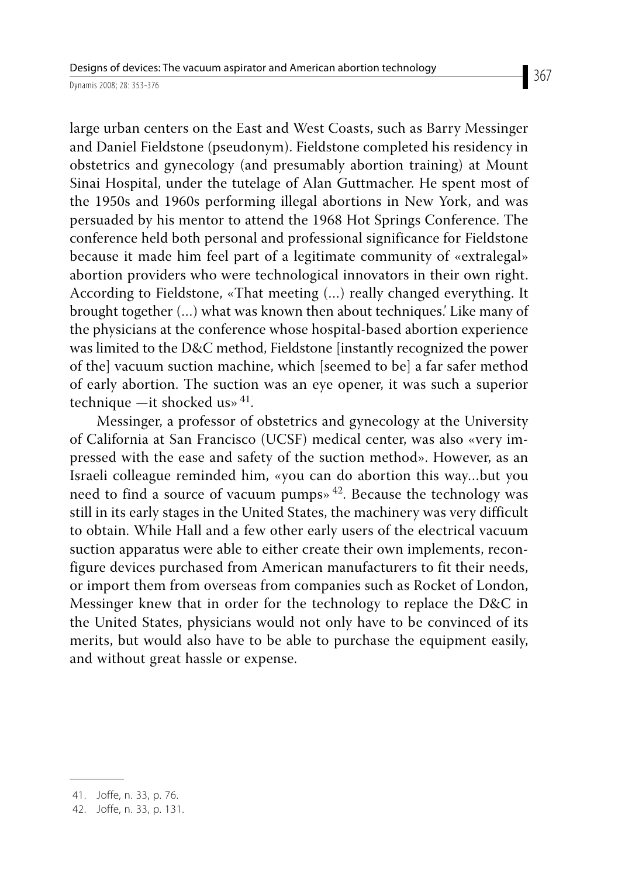large urban centers on the East and West Coasts, such as Barry Messinger and Daniel Fieldstone (pseudonym). Fieldstone completed his residency in obstetrics and gynecology (and presumably abortion training) at Mount Sinai Hospital, under the tutelage of Alan Guttmacher. He spent most of the 1950s and 1960s performing illegal abortions in New York, and was persuaded by his mentor to attend the 1968 Hot Springs Conference. The conference held both personal and professional significance for Fieldstone because it made him feel part of a legitimate community of «extralegal» abortion providers who were technological innovators in their own right. According to Fieldstone, «That meeting (…) really changed everything. It brought together (...) what was known then about techniques.' Like many of the physicians at the conference whose hospital-based abortion experience was limited to the D&C method, Fieldstone [instantly recognized the power of the] vacuum suction machine, which [seemed to be] a far safer method of early abortion. The suction was an eye opener, it was such a superior technique —it shocked us»  $41$ .

Messinger, a professor of obstetrics and gynecology at the University of California at San Francisco (UCSF) medical center, was also «very impressed with the ease and safety of the suction method». However, as an Israeli colleague reminded him, «you can do abortion this way…but you need to find a source of vacuum pumps»  $42$ . Because the technology was still in its early stages in the United States, the machinery was very difficult to obtain. While Hall and a few other early users of the electrical vacuum suction apparatus were able to either create their own implements, reconfigure devices purchased from American manufacturers to fit their needs, or import them from overseas from companies such as Rocket of London, Messinger knew that in order for the technology to replace the D&C in the United States, physicians would not only have to be convinced of its merits, but would also have to be able to purchase the equipment easily, and without great hassle or expense.

 <sup>41.</sup> Joffe, n. 33, p. 76.

 <sup>42.</sup> Joffe, n. 33, p. 131.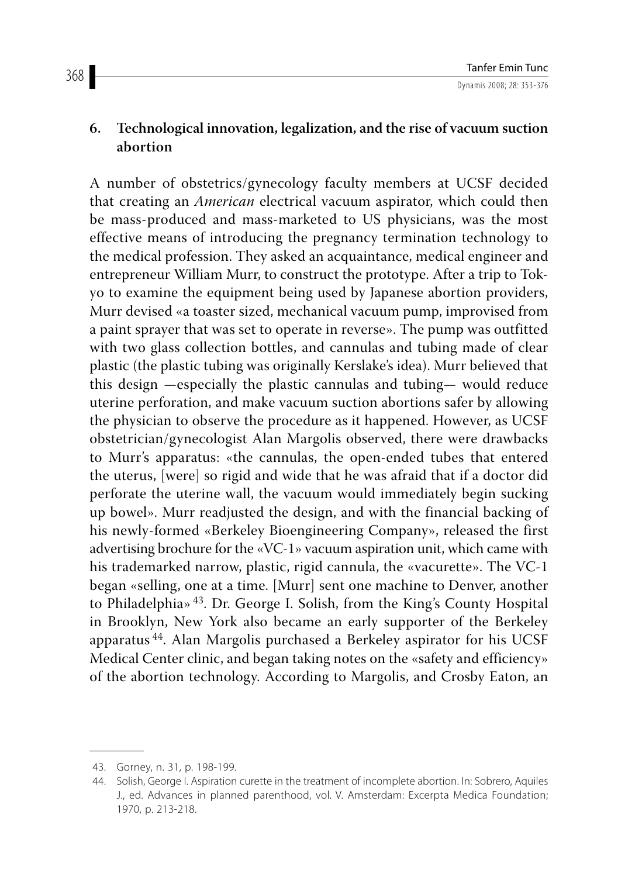## **6. Technological innovation, legalization, and the rise of vacuum suction abortion**

A number of obstetrics/gynecology faculty members at UCSF decided that creating an *American* electrical vacuum aspirator, which could then be mass-produced and mass-marketed to US physicians, was the most effective means of introducing the pregnancy termination technology to the medical profession. They asked an acquaintance, medical engineer and entrepreneur William Murr, to construct the prototype. After a trip to Tokyo to examine the equipment being used by Japanese abortion providers, Murr devised «a toaster sized, mechanical vacuum pump, improvised from a paint sprayer that was set to operate in reverse». The pump was outfitted with two glass collection bottles, and cannulas and tubing made of clear plastic (the plastic tubing was originally Kerslake's idea). Murr believed that this design —especially the plastic cannulas and tubing— would reduce uterine perforation, and make vacuum suction abortions safer by allowing the physician to observe the procedure as it happened. However, as UCSF obstetrician/gynecologist Alan Margolis observed, there were drawbacks to Murr's apparatus: «the cannulas, the open-ended tubes that entered the uterus, [were] so rigid and wide that he was afraid that if a doctor did perforate the uterine wall, the vacuum would immediately begin sucking up bowel». Murr readjusted the design, and with the financial backing of his newly-formed «Berkeley Bioengineering Company», released the first advertising brochure for the «VC-1» vacuum aspiration unit, which came with his trademarked narrow, plastic, rigid cannula, the «vacurette». The VC-1 began «selling, one at a time. [Murr] sent one machine to Denver, another to Philadelphia» 43. Dr. George I. Solish, from the King's County Hospital in Brooklyn, New York also became an early supporter of the Berkeley apparatus 44. Alan Margolis purchased a Berkeley aspirator for his UCSF Medical Center clinic, and began taking notes on the «safety and efficiency» of the abortion technology. According to Margolis, and Crosby Eaton, an

 <sup>43.</sup> Gorney, n. 31, p. 198-199.

 <sup>44.</sup> Solish, George I. Aspiration curette in the treatment of incomplete abortion. In: Sobrero, Aquiles J., ed. Advances in planned parenthood, vol. V. Amsterdam: Excerpta Medica Foundation; 1970, p. 213-218.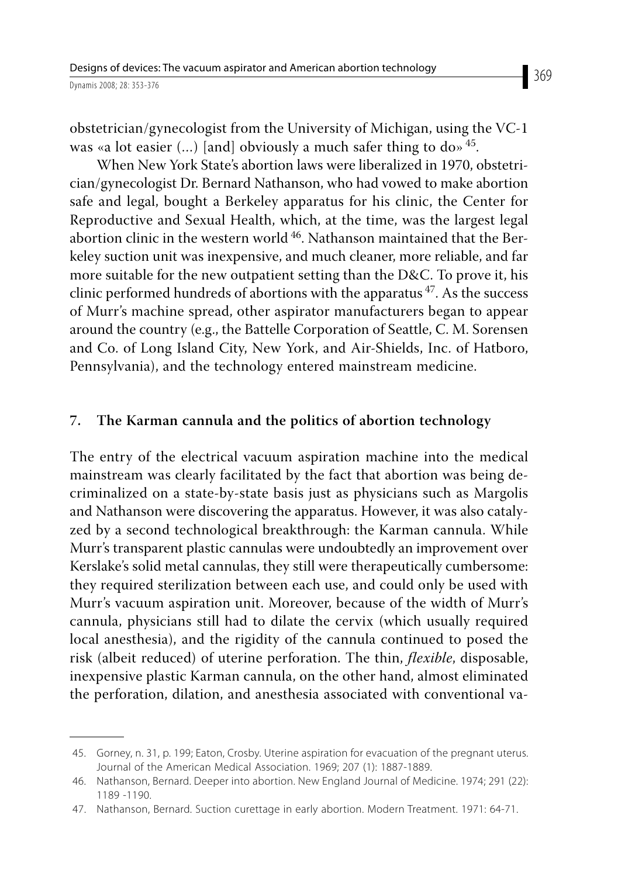obstetrician/gynecologist from the University of Michigan, using the VC-1 was «a lot easier  $(...)$  [and] obviously a much safer thing to do» 45.

When New York State's abortion laws were liberalized in 1970, obstetrician/gynecologist Dr. Bernard Nathanson, who had vowed to make abortion safe and legal, bought a Berkeley apparatus for his clinic, the Center for Reproductive and Sexual Health, which, at the time, was the largest legal abortion clinic in the western world  $46$ . Nathanson maintained that the Berkeley suction unit was inexpensive, and much cleaner, more reliable, and far more suitable for the new outpatient setting than the D&C. To prove it, his clinic performed hundreds of abortions with the apparatus  $47$ . As the success of Murr's machine spread, other aspirator manufacturers began to appear around the country (e.g., the Battelle Corporation of Seattle, C. M. Sorensen and Co. of Long Island City, New York, and Air-Shields, Inc. of Hatboro, Pennsylvania), and the technology entered mainstream medicine.

#### **7. The Karman cannula and the politics of abortion technology**

The entry of the electrical vacuum aspiration machine into the medical mainstream was clearly facilitated by the fact that abortion was being decriminalized on a state-by-state basis just as physicians such as Margolis and Nathanson were discovering the apparatus. However, it was also catalyzed by a second technological breakthrough: the Karman cannula. While Murr's transparent plastic cannulas were undoubtedly an improvement over Kerslake's solid metal cannulas, they still were therapeutically cumbersome: they required sterilization between each use, and could only be used with Murr's vacuum aspiration unit. Moreover, because of the width of Murr's cannula, physicians still had to dilate the cervix (which usually required local anesthesia), and the rigidity of the cannula continued to posed the risk (albeit reduced) of uterine perforation. The thin, *flexible*, disposable, inexpensive plastic Karman cannula, on the other hand, almost eliminated the perforation, dilation, and anesthesia associated with conventional va-

 <sup>45.</sup> Gorney, n. 31, p. 199; Eaton, Crosby. Uterine aspiration for evacuation of the pregnant uterus. Journal of the American Medical Association. 1969; 207 (1): 1887-1889.

 <sup>46.</sup> Nathanson, Bernard. Deeper into abortion. New England Journal of Medicine. 1974; 291 (22): 1189 -1190.

 <sup>47.</sup> Nathanson, Bernard. Suction curettage in early abortion. Modern Treatment. 1971: 64-71.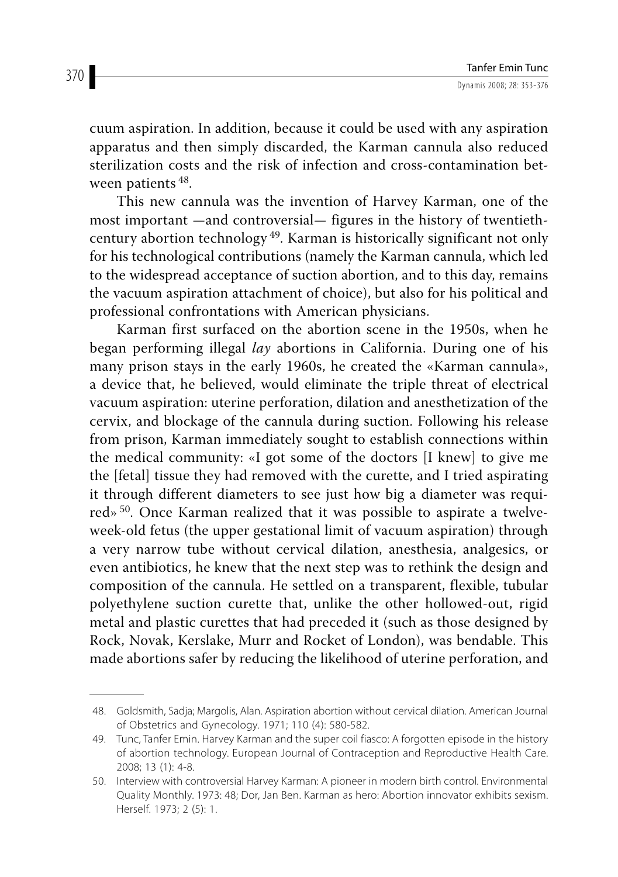cuum aspiration. In addition, because it could be used with any aspiration apparatus and then simply discarded, the Karman cannula also reduced sterilization costs and the risk of infection and cross-contamination between patients 48.

This new cannula was the invention of Harvey Karman, one of the most important —and controversial— figures in the history of twentiethcentury abortion technology 49. Karman is historically significant not only for his technological contributions (namely the Karman cannula, which led to the widespread acceptance of suction abortion, and to this day, remains the vacuum aspiration attachment of choice), but also for his political and professional confrontations with American physicians.

Karman first surfaced on the abortion scene in the 1950s, when he began performing illegal *lay* abortions in California. During one of his many prison stays in the early 1960s, he created the «Karman cannula», a device that, he believed, would eliminate the triple threat of electrical vacuum aspiration: uterine perforation, dilation and anesthetization of the cervix, and blockage of the cannula during suction. Following his release from prison, Karman immediately sought to establish connections within the medical community: «I got some of the doctors [I knew] to give me the [fetal] tissue they had removed with the curette, and I tried aspirating it through different diameters to see just how big a diameter was required» 50. Once Karman realized that it was possible to aspirate a twelveweek-old fetus (the upper gestational limit of vacuum aspiration) through a very narrow tube without cervical dilation, anesthesia, analgesics, or even antibiotics, he knew that the next step was to rethink the design and composition of the cannula. He settled on a transparent, flexible, tubular polyethylene suction curette that, unlike the other hollowed-out, rigid metal and plastic curettes that had preceded it (such as those designed by Rock, Novak, Kerslake, Murr and Rocket of London), was bendable. This made abortions safer by reducing the likelihood of uterine perforation, and

 <sup>48.</sup> Goldsmith, Sadja; Margolis, Alan. Aspiration abortion without cervical dilation. American Journal of Obstetrics and Gynecology. 1971; 110 (4): 580-582.

 <sup>49.</sup> Tunc, Tanfer Emin. Harvey Karman and the super coil fiasco: A forgotten episode in the history of abortion technology. European Journal of Contraception and Reproductive Health Care. 2008; 13 (1): 4-8.

 <sup>50.</sup> Interview with controversial Harvey Karman: A pioneer in modern birth control. Environmental Quality Monthly. 1973: 48; Dor, Jan Ben. Karman as hero: Abortion innovator exhibits sexism. Herself. 1973; 2 (5): 1.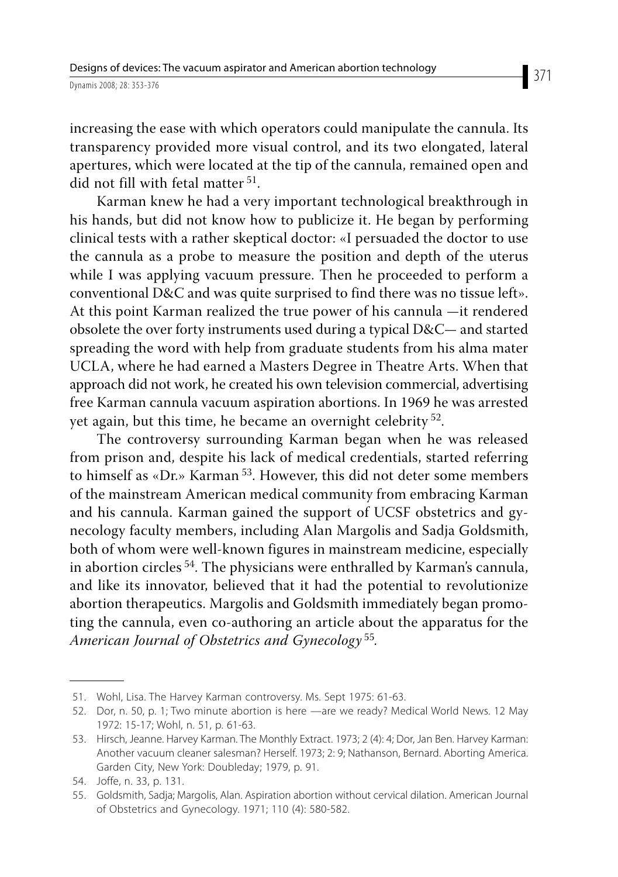increasing the ease with which operators could manipulate the cannula. Its transparency provided more visual control, and its two elongated, lateral apertures, which were located at the tip of the cannula, remained open and did not fill with fetal matter 51.

Karman knew he had a very important technological breakthrough in his hands, but did not know how to publicize it. He began by performing clinical tests with a rather skeptical doctor: «I persuaded the doctor to use the cannula as a probe to measure the position and depth of the uterus while I was applying vacuum pressure. Then he proceeded to perform a conventional D&C and was quite surprised to find there was no tissue left». At this point Karman realized the true power of his cannula —it rendered obsolete the over forty instruments used during a typical D&C— and started spreading the word with help from graduate students from his alma mater UCLA, where he had earned a Masters Degree in Theatre Arts. When that approach did not work, he created his own television commercial, advertising free Karman cannula vacuum aspiration abortions. In 1969 he was arrested yet again, but this time, he became an overnight celebrity <sup>52</sup>.

The controversy surrounding Karman began when he was released from prison and, despite his lack of medical credentials, started referring to himself as «Dr.» Karman<sup>53</sup>. However, this did not deter some members of the mainstream American medical community from embracing Karman and his cannula. Karman gained the support of UCSF obstetrics and gynecology faculty members, including Alan Margolis and Sadja Goldsmith, both of whom were well-known figures in mainstream medicine, especially in abortion circles 54. The physicians were enthralled by Karman's cannula, and like its innovator, believed that it had the potential to revolutionize abortion therapeutics. Margolis and Goldsmith immediately began promoting the cannula, even co-authoring an article about the apparatus for the *American Journal of Obstetrics and Gynecology* 55*.*

 <sup>51.</sup> Wohl, Lisa. The Harvey Karman controversy. Ms. Sept 1975: 61-63.

 <sup>52.</sup> Dor, n. 50, p. 1; Two minute abortion is here —are we ready? Medical World News. 12 May 1972: 15-17; Wohl, n. 51, p. 61-63.

 <sup>53.</sup> Hirsch, Jeanne. Harvey Karman. The Monthly Extract. 1973; 2 (4): 4; Dor, Jan Ben. Harvey Karman: Another vacuum cleaner salesman? Herself. 1973; 2: 9; Nathanson, Bernard. Aborting America. Garden City, New York: Doubleday; 1979, p. 91.

 <sup>54.</sup> Joffe, n. 33, p. 131.

 <sup>55.</sup> Goldsmith, Sadja; Margolis, Alan. Aspiration abortion without cervical dilation. American Journal of Obstetrics and Gynecology. 1971; 110 (4): 580-582.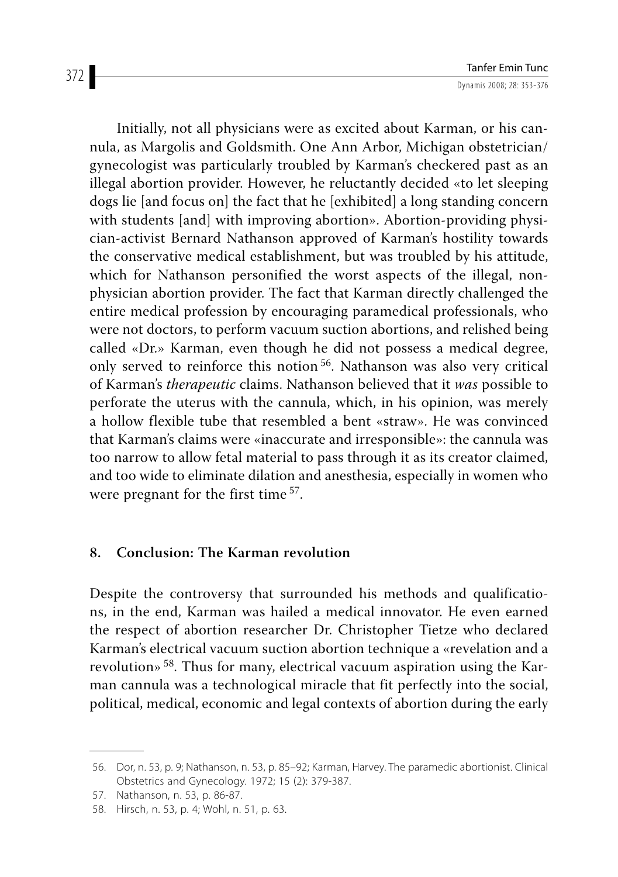Initially, not all physicians were as excited about Karman, or his cannula, as Margolis and Goldsmith. One Ann Arbor, Michigan obstetrician/ gynecologist was particularly troubled by Karman's checkered past as an illegal abortion provider. However, he reluctantly decided «to let sleeping dogs lie [and focus on] the fact that he [exhibited] a long standing concern with students [and] with improving abortion». Abortion-providing physician-activist Bernard Nathanson approved of Karman's hostility towards the conservative medical establishment, but was troubled by his attitude, which for Nathanson personified the worst aspects of the illegal, nonphysician abortion provider. The fact that Karman directly challenged the entire medical profession by encouraging paramedical professionals, who were not doctors, to perform vacuum suction abortions, and relished being called «Dr.» Karman, even though he did not possess a medical degree, only served to reinforce this notion 56. Nathanson was also very critical of Karman's *therapeutic* claims. Nathanson believed that it *was* possible to perforate the uterus with the cannula, which, in his opinion, was merely a hollow flexible tube that resembled a bent «straw». He was convinced that Karman's claims were «inaccurate and irresponsible»: the cannula was too narrow to allow fetal material to pass through it as its creator claimed, and too wide to eliminate dilation and anesthesia, especially in women who were pregnant for the first time <sup>57</sup>.

## **8. Conclusion: The Karman revolution**

Despite the controversy that surrounded his methods and qualifications, in the end, Karman was hailed a medical innovator. He even earned the respect of abortion researcher Dr. Christopher Tietze who declared Karman's electrical vacuum suction abortion technique a «revelation and a revolution» 58. Thus for many, electrical vacuum aspiration using the Karman cannula was a technological miracle that fit perfectly into the social, political, medical, economic and legal contexts of abortion during the early

 <sup>56.</sup> Dor, n. 53, p. 9; Nathanson, n. 53, p. 85–92; Karman, Harvey. The paramedic abortionist. Clinical Obstetrics and Gynecology. 1972; 15 (2): 379-387.

 <sup>57.</sup> Nathanson, n. 53, p. 86-87.

 <sup>58.</sup> Hirsch, n. 53, p. 4; Wohl, n. 51, p. 63.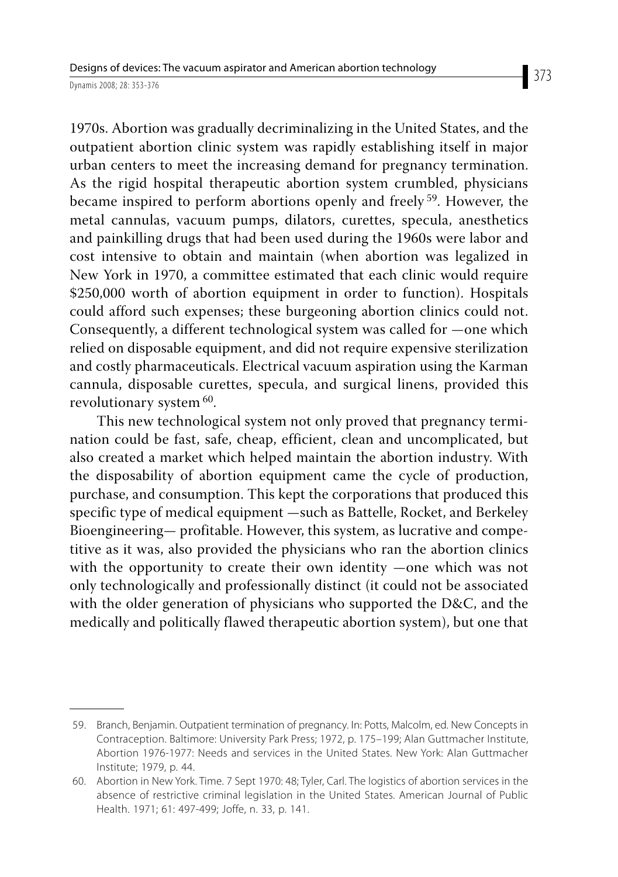1970s. Abortion was gradually decriminalizing in the United States, and the outpatient abortion clinic system was rapidly establishing itself in major urban centers to meet the increasing demand for pregnancy termination. As the rigid hospital therapeutic abortion system crumbled, physicians became inspired to perform abortions openly and freely 59. However, the metal cannulas, vacuum pumps, dilators, curettes, specula, anesthetics and painkilling drugs that had been used during the 1960s were labor and cost intensive to obtain and maintain (when abortion was legalized in New York in 1970, a committee estimated that each clinic would require \$250,000 worth of abortion equipment in order to function). Hospitals could afford such expenses; these burgeoning abortion clinics could not. Consequently, a different technological system was called for —one which relied on disposable equipment, and did not require expensive sterilization and costly pharmaceuticals. Electrical vacuum aspiration using the Karman cannula, disposable curettes, specula, and surgical linens, provided this revolutionary system <sup>60</sup>.

This new technological system not only proved that pregnancy termination could be fast, safe, cheap, efficient, clean and uncomplicated, but also created a market which helped maintain the abortion industry. With the disposability of abortion equipment came the cycle of production, purchase, and consumption. This kept the corporations that produced this specific type of medical equipment —such as Battelle, Rocket, and Berkeley Bioengineering— profitable. However, this system, as lucrative and competitive as it was, also provided the physicians who ran the abortion clinics with the opportunity to create their own identity —one which was not only technologically and professionally distinct (it could not be associated with the older generation of physicians who supported the D&C, and the medically and politically flawed therapeutic abortion system), but one that

 <sup>59.</sup> Branch, Benjamin. Outpatient termination of pregnancy. In: Potts, Malcolm, ed. New Concepts in Contraception. Baltimore: University Park Press; 1972, p. 175–199; Alan Guttmacher Institute, Abortion 1976-1977: Needs and services in the United States. New York: Alan Guttmacher Institute; 1979, p. 44.

 <sup>60.</sup> Abortion in New York. Time. 7 Sept 1970: 48; Tyler, Carl. The logistics of abortion services in the absence of restrictive criminal legislation in the United States. American Journal of Public Health. 1971; 61: 497-499; Joffe, n. 33, p. 141.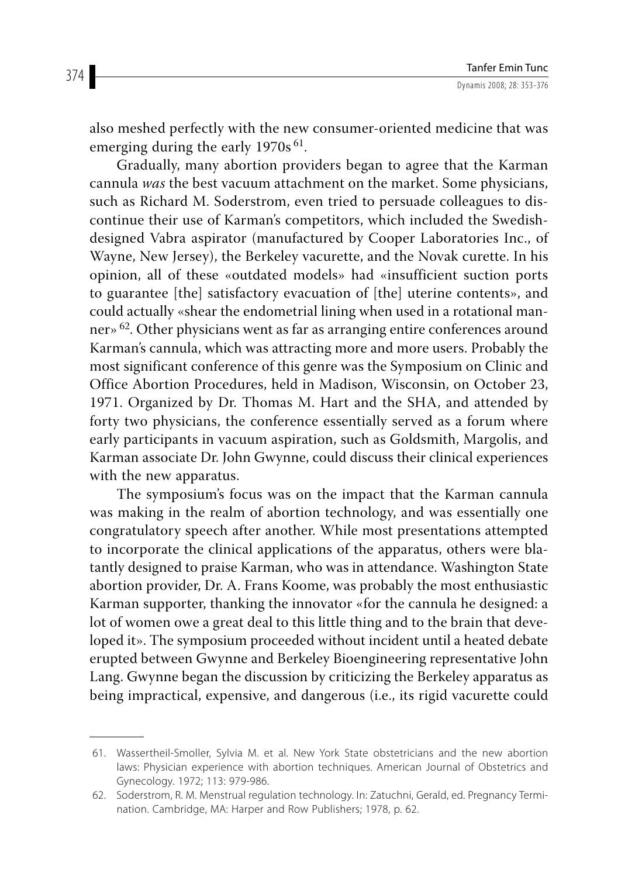also meshed perfectly with the new consumer-oriented medicine that was emerging during the early 1970s<sup>61</sup>.

Gradually, many abortion providers began to agree that the Karman cannula *was* the best vacuum attachment on the market. Some physicians, such as Richard M. Soderstrom, even tried to persuade colleagues to discontinue their use of Karman's competitors, which included the Swedishdesigned Vabra aspirator (manufactured by Cooper Laboratories Inc., of Wayne, New Jersey), the Berkeley vacurette, and the Novak curette. In his opinion, all of these «outdated models» had «insufficient suction ports to guarantee [the] satisfactory evacuation of [the] uterine contents», and could actually «shear the endometrial lining when used in a rotational manner» 62. Other physicians went as far as arranging entire conferences around Karman's cannula, which was attracting more and more users. Probably the most significant conference of this genre was the Symposium on Clinic and Office Abortion Procedures, held in Madison, Wisconsin, on October 23, 1971. Organized by Dr. Thomas M. Hart and the SHA, and attended by forty two physicians, the conference essentially served as a forum where early participants in vacuum aspiration, such as Goldsmith, Margolis, and Karman associate Dr. John Gwynne, could discuss their clinical experiences with the new apparatus.

The symposium's focus was on the impact that the Karman cannula was making in the realm of abortion technology, and was essentially one congratulatory speech after another. While most presentations attempted to incorporate the clinical applications of the apparatus, others were blatantly designed to praise Karman, who was in attendance. Washington State abortion provider, Dr. A. Frans Koome, was probably the most enthusiastic Karman supporter, thanking the innovator «for the cannula he designed: a lot of women owe a great deal to this little thing and to the brain that developed it». The symposium proceeded without incident until a heated debate erupted between Gwynne and Berkeley Bioengineering representative John Lang. Gwynne began the discussion by criticizing the Berkeley apparatus as being impractical, expensive, and dangerous (i.e., its rigid vacurette could

 <sup>61.</sup> Wassertheil-Smoller, Sylvia M. et al. New York State obstetricians and the new abortion laws: Physician experience with abortion techniques. American Journal of Obstetrics and Gynecology. 1972; 113: 979-986.

 <sup>62.</sup> Soderstrom, R. M. Menstrual regulation technology. In: Zatuchni, Gerald, ed. Pregnancy Termination. Cambridge, MA: Harper and Row Publishers; 1978, p. 62.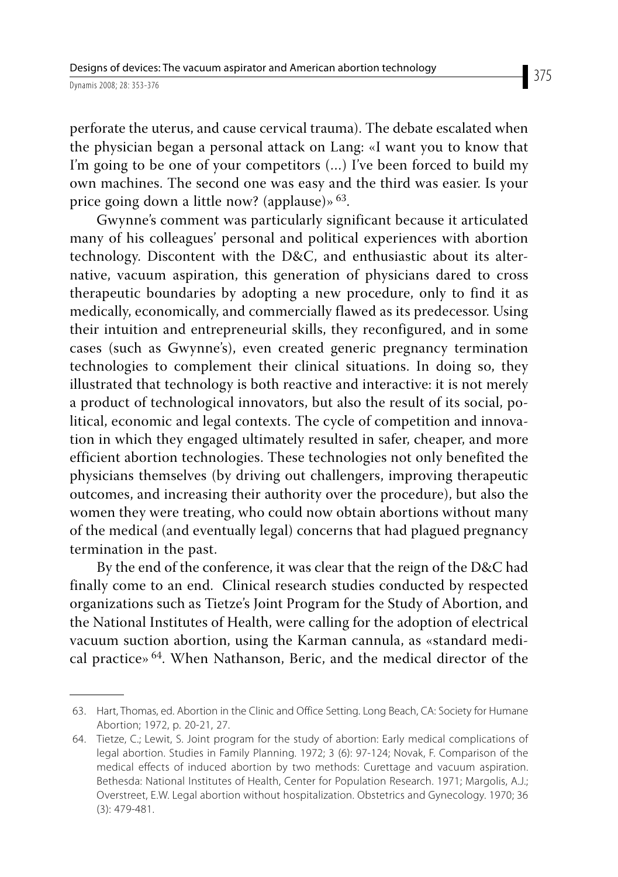perforate the uterus, and cause cervical trauma). The debate escalated when the physician began a personal attack on Lang: «I want you to know that I'm going to be one of your competitors (…) I've been forced to build my own machines. The second one was easy and the third was easier. Is your price going down a little now? (applause) $\frac{63}{8}$ .

Gwynne's comment was particularly significant because it articulated many of his colleagues' personal and political experiences with abortion technology. Discontent with the D&C, and enthusiastic about its alternative, vacuum aspiration, this generation of physicians dared to cross therapeutic boundaries by adopting a new procedure, only to find it as medically, economically, and commercially flawed as its predecessor. Using their intuition and entrepreneurial skills, they reconfigured, and in some cases (such as Gwynne's), even created generic pregnancy termination technologies to complement their clinical situations. In doing so, they illustrated that technology is both reactive and interactive: it is not merely a product of technological innovators, but also the result of its social, political, economic and legal contexts. The cycle of competition and innovation in which they engaged ultimately resulted in safer, cheaper, and more efficient abortion technologies. These technologies not only benefited the physicians themselves (by driving out challengers, improving therapeutic outcomes, and increasing their authority over the procedure), but also the women they were treating, who could now obtain abortions without many of the medical (and eventually legal) concerns that had plagued pregnancy termination in the past.

By the end of the conference, it was clear that the reign of the D&C had finally come to an end. Clinical research studies conducted by respected organizations such as Tietze's Joint Program for the Study of Abortion, and the National Institutes of Health, were calling for the adoption of electrical vacuum suction abortion, using the Karman cannula, as «standard medical practice» 64. When Nathanson, Beric, and the medical director of the

 <sup>63.</sup> Hart, Thomas, ed. Abortion in the Clinic and Office Setting. Long Beach, CA: Society for Humane Abortion; 1972, p. 20-21, 27.

 <sup>64.</sup> Tietze, C.; Lewit, S. Joint program for the study of abortion: Early medical complications of legal abortion. Studies in Family Planning. 1972; 3 (6): 97-124; Novak, F. Comparison of the medical effects of induced abortion by two methods: Curettage and vacuum aspiration. Bethesda: National Institutes of Health, Center for Population Research. 1971; Margolis, A.J.; Overstreet, E.W. Legal abortion without hospitalization. Obstetrics and Gynecology. 1970; 36 (3): 479-481.